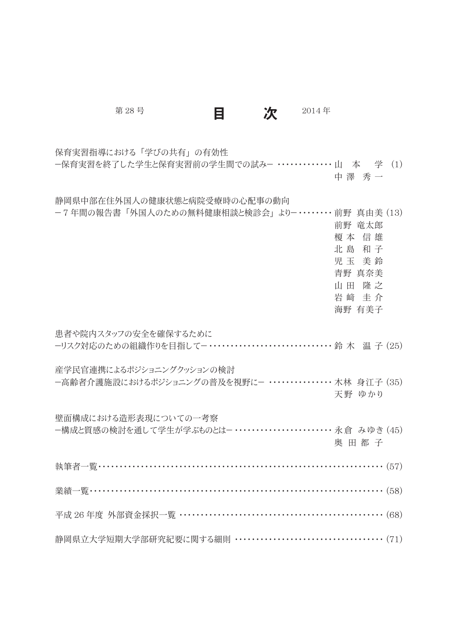| 第28号                                                                                   | 目 | 次 | 2014年 |                                                                            |  |
|----------------------------------------------------------------------------------------|---|---|-------|----------------------------------------------------------------------------|--|
| 保育実習指導における「学びの共有」の有効性<br>一保育実習を終了した学生と保育実習前の学生間での試みー ・・・・・・・・・・・・・・山 本 学 (1)           |   |   |       | 中澤 秀一                                                                      |  |
| 静岡県中部在住外国人の健康状態と病院受療時の心配事の動向<br>ー7年間の報告書「外国人のための無料健康相談と検診会」よりー・・・・・・・・前野 真由美 (13)      |   |   |       | 前野 竜太郎<br>榎 本 信 雄<br>北島和子<br>児玉 美鈴<br>青野 真奈美<br>山田 隆之<br>岩 﨑 圭 介<br>海野 有美子 |  |
| 患者や院内スタッフの安全を確保するために                                                                   |   |   |       |                                                                            |  |
| 産学民官連携によるポジショニングクッションの検討<br>ー高齢者介護施設におけるポジショニングの普及を視野にー ・・・・・・・・・・・・・・・木林 身江子 (35)     |   |   |       | 天野 ゆかり                                                                     |  |
| 壁面構成における造形表現についての一考察<br>ー構成と質感の検討を通して学生が学ぶものとはー ・・・・・・・・・・・・・・・・・・・・・・・・・ 永 倉 みゆき (45) |   |   |       | 奥田都子                                                                       |  |
|                                                                                        |   |   |       |                                                                            |  |
|                                                                                        |   |   |       |                                                                            |  |
| 平成 26年度 外部資金採択一覧 ……………………………………………………… (68)                                            |   |   |       |                                                                            |  |
| 静岡県立大学短期大学部研究紀要に関する細則 ………………………………………… (71)                                            |   |   |       |                                                                            |  |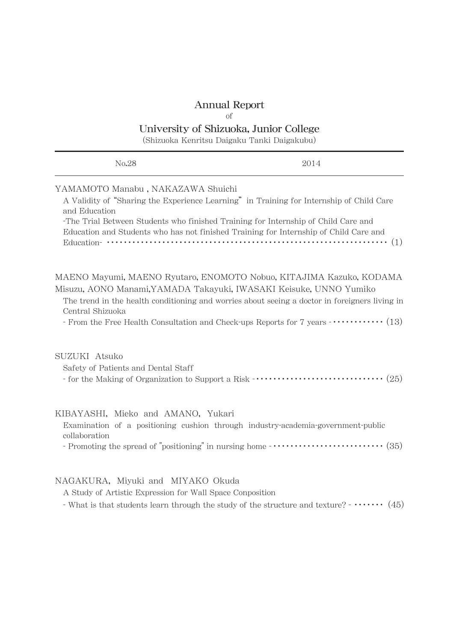# Annual Report

of

## University of Shizuoka, Junior College

(Shizuoka Kenritsu Daigaku Tanki Daigakubu)

| No.28                                                                                                                                                                                                                                                                                                                         | 2014                                                                                                                                                                                                    |
|-------------------------------------------------------------------------------------------------------------------------------------------------------------------------------------------------------------------------------------------------------------------------------------------------------------------------------|---------------------------------------------------------------------------------------------------------------------------------------------------------------------------------------------------------|
| YAMAMOTO Manabu, NAKAZAWA Shuichi<br>A Validity of "Sharing the Experience Learning" in Training for Internship of Child Care<br>and Education<br>-The Trial Between Students who finished Training for Internship of Child Care and<br>Education and Students who has not finished Training for Internship of Child Care and | Education- $\cdots$ $\cdots$ $\cdots$ $\cdots$ $\cdots$ $\cdots$ $\cdots$ $\cdots$ $\cdots$ $\cdots$ $\cdots$ $\cdots$ $\cdots$ $\cdots$ $\cdots$ $\cdots$ $\cdots$ $\cdots$ $\cdots$ $\cdots$ $\cdots$ |
| MAENO Mayumi, MAENO Ryutaro, ENOMOTO Nobuo, KITAJIMA Kazuko, KODAMA<br>Misuzu, AONO Manami, YAMADA Takayuki, IWASAKI Keisuke, UNNO Yumiko<br>Central Shizuoka                                                                                                                                                                 | The trend in the health conditioning and worries about seeing a doctor in foreigners living in<br>- From the Free Health Consultation and Check-ups Reports for 7 years $\cdots \cdots \cdots$ (13)     |
| SUZUKI Atsuko<br>Safety of Patients and Dental Staff                                                                                                                                                                                                                                                                          |                                                                                                                                                                                                         |
| KIBAYASHI, Mieko and AMANO, Yukari<br>Examination of a positioning cushion through industry-academia-government-public<br>collaboration                                                                                                                                                                                       |                                                                                                                                                                                                         |
| NAGAKURA, Miyuki and MIYAKO Okuda<br>A Study of Artistic Expression for Wall Space Conposition                                                                                                                                                                                                                                | - What is that students learn through the study of the structure and texture? - $\cdots$ (45)                                                                                                           |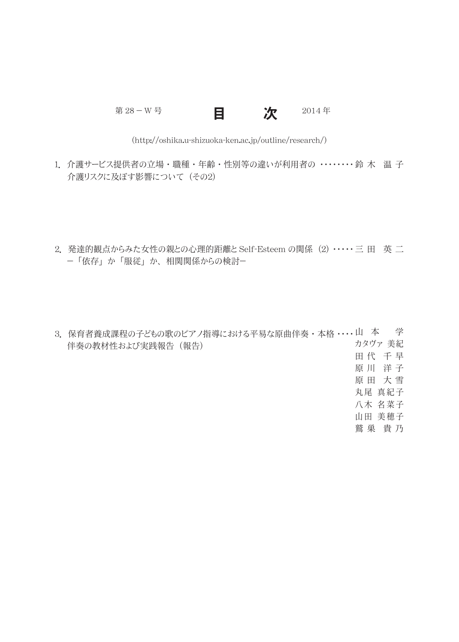第 28 - W 号 2014年

目 次

(http://oshika.u-shizuoka-ken.ac.jp/outline/research/)

- 1.介護サービス提供者の立場・職種・年齢・性別等の違いが利用者の ・・・・・・・・鈴 木 温 子 介護リスクに及ぼす影響について (その2)
- 2. 発達的観点からみた女性の親との心理的距離と Self-Esteem の関係 (2) ・・・・・ 三 田 英 二 - 「依存」 か 「服従」 か、 相関関係からの検討-
- 3.保育者養成課程の子どもの歌のピアノ指導における平易な原曲伴奏・本格 ・・・・山 本 学 伴奏の教材性および実践報告 (報告) カタヴァ 美紀 田代 千早 原 川 洋子 原 田 大 雪 丸尾 真紀子 八木 名菜子 山田 美穂子 鷲 巣 貴乃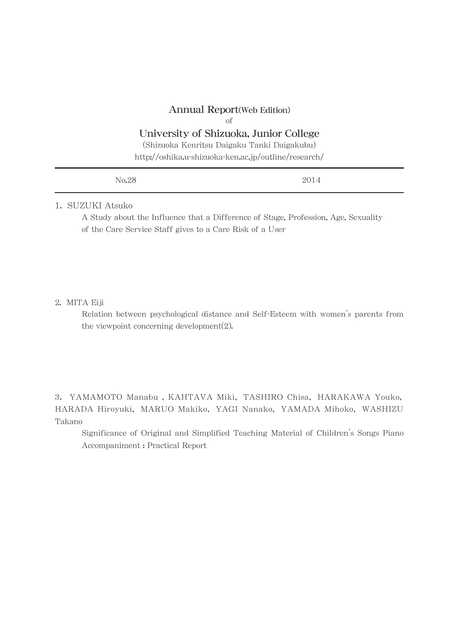### Annual Report(Web Edition)

#### of

## University of Shizuoka, Junior College

(Shizuoka Kenritsu Daigaku Tanki Daigakubu)

http://oshika.u-shizuoka-ken.ac.jp/outline/research/

| No.28<br>the contract of the contract of the contract of | 2014<br>---- |
|----------------------------------------------------------|--------------|
|                                                          |              |

## 1. SUZUKI Atsuko

A Study about the Influence that a Difference of Stage, Profession, Age, Sexuality of the Care Service Staff gives to a Care Risk of a User

## 2. MITA Eiji

Relation between psychological distance and Self-Esteem with women's parents from the viewpoint concerning development(2).

3. YAMAMOTO Manabu , KAHTAVA Miki, TASHIRO Chisa, HARAKAWA Youko, HARADA Hiroyuki, MARUO Makiko, YAGI Nanako, YAMADA Mihoko, WASHIZU Takano

Significance of Original and Simplified Teaching Material of Children's Songs Piano Accompaniment : Practical Report